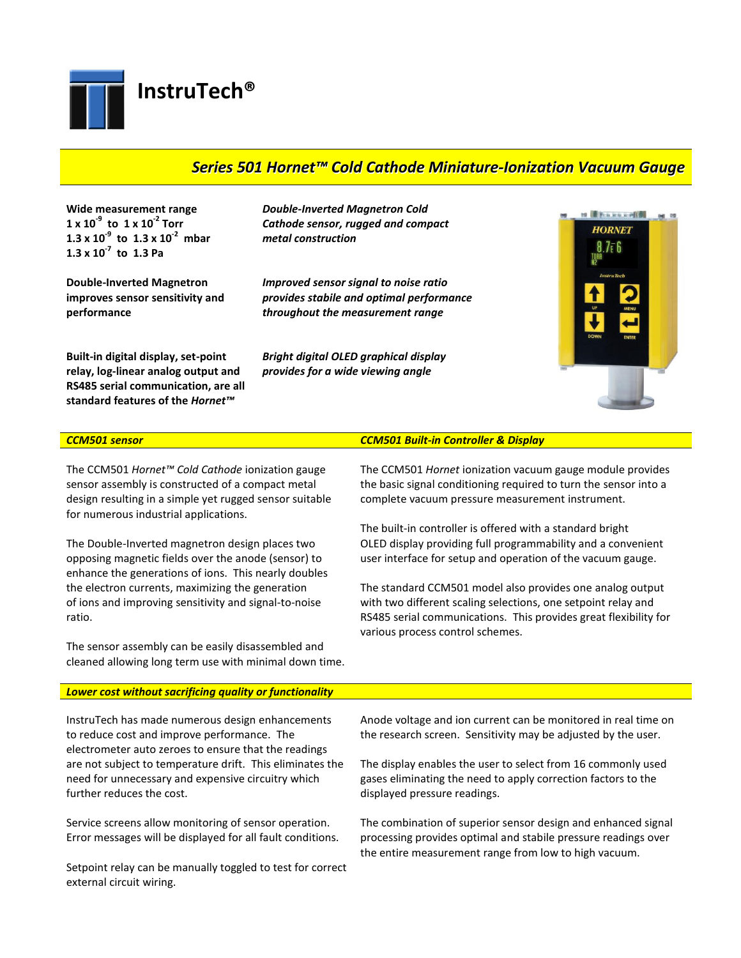**[InstruTech®](http://www.instrutechinc.com/)**

# *Series 501 Hornet™ Cold Cathode Miniature-Ionization Vacuum Gauge*

**Wide measurement range 1 x 10-9 to 1 x 10-2 Torr 1.3 x 10-9 to 1.3 x 10-2 mbar 1.3 x 10-7 to 1.3 Pa**

**Double-Inverted Magnetron improves sensor sensitivity and performance**

**Built-in digital display, set-point relay, log-linear analog output and RS485 serial communication, are all standard features of the** *Hornet™*

*Double-Inverted Magnetron Cold Cathode sensor, rugged and compact metal construction*

*Improved sensor signal to noise ratio provides stabile and optimal performance throughout the measurement range*

*Bright digital OLED graphical display provides for a wide viewing angle*



The CCM501 *Hornet™ Cold Cathode* ionization gauge sensor assembly is constructed of a compact metal design resulting in a simple yet rugged sensor suitable for numerous industrial applications.

The Double-Inverted magnetron design places two opposing magnetic fields over the anode (sensor) to enhance the generations of ions. This nearly doubles the electron currents, maximizing the generation of ions and improving sensitivity and signal-to-noise ratio.

The sensor assembly can be easily disassembled and cleaned allowing long term use with minimal down time.

## *CCM501 sensor CCM501 Built-in Controller & Display*

The CCM501 *Hornet* ionization vacuum gauge module provides the basic signal conditioning required to turn the sensor into a complete vacuum pressure measurement instrument.

The built-in controller is offered with a standard bright OLED display providing full programmability and a convenient user interface for setup and operation of the vacuum gauge.

The standard CCM501 model also provides one analog output with two different scaling selections, one setpoint relay and RS485 serial communications. This provides great flexibility for various process control schemes.

### *Lower cost without sacrificing quality or functionality*

InstruTech has made numerous design enhancements to reduce cost and improve performance. The electrometer auto zeroes to ensure that the readings are not subject to temperature drift. This eliminates the need for unnecessary and expensive circuitry which further reduces the cost.

Service screens allow monitoring of sensor operation. Error messages will be displayed for all fault conditions.

Setpoint relay can be manually toggled to test for correct external circuit wiring.

Anode voltage and ion current can be monitored in real time on the research screen. Sensitivity may be adjusted by the user.

The display enables the user to select from 16 commonly used gases eliminating the need to apply correction factors to the displayed pressure readings.

The combination of superior sensor design and enhanced signal processing provides optimal and stabile pressure readings over the entire measurement range from low to high vacuum.